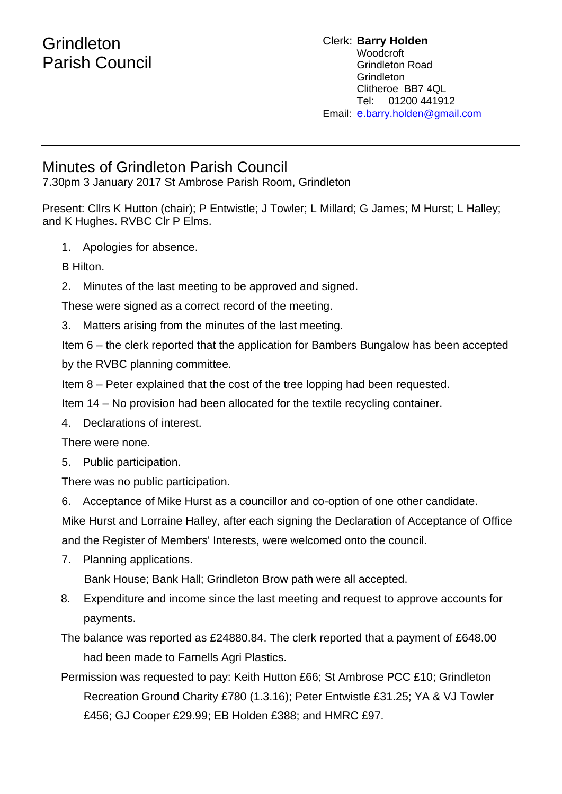## **Grindleton** Parish Council

## Clerk: **Barry Holden** Woodcroft Grindleton Road **Grindleton** Clitheroe BB7 4QL Tel: 01200 441912 Email: [e](mailto:edwardbholden@yahoo.co.uk).barry.holden@gmail.com

## Minutes of Grindleton Parish Council

7.30pm 3 January 2017 St Ambrose Parish Room, Grindleton

Present: Cllrs K Hutton (chair); P Entwistle; J Towler; L Millard; G James; M Hurst; L Halley; and K Hughes. RVBC Clr P Elms.

1. Apologies for absence.

B Hilton.

2. Minutes of the last meeting to be approved and signed.

These were signed as a correct record of the meeting.

3. Matters arising from the minutes of the last meeting.

Item 6 – the clerk reported that the application for Bambers Bungalow has been accepted by the RVBC planning committee.

Item 8 – Peter explained that the cost of the tree lopping had been requested.

Item 14 – No provision had been allocated for the textile recycling container.

4. Declarations of interest.

There were none.

5. Public participation.

There was no public participation.

6. Acceptance of Mike Hurst as a councillor and co-option of one other candidate.

Mike Hurst and Lorraine Halley, after each signing the Declaration of Acceptance of Office and the Register of Members' Interests, were welcomed onto the council.

7. Planning applications.

Bank House; Bank Hall; Grindleton Brow path were all accepted.

8. Expenditure and income since the last meeting and request to approve accounts for payments.

The balance was reported as £24880.84. The clerk reported that a payment of £648.00 had been made to Farnells Agri Plastics.

Permission was requested to pay: Keith Hutton £66; St Ambrose PCC £10; Grindleton Recreation Ground Charity £780 (1.3.16); Peter Entwistle £31.25; YA & VJ Towler £456; GJ Cooper £29.99; EB Holden £388; and HMRC £97.